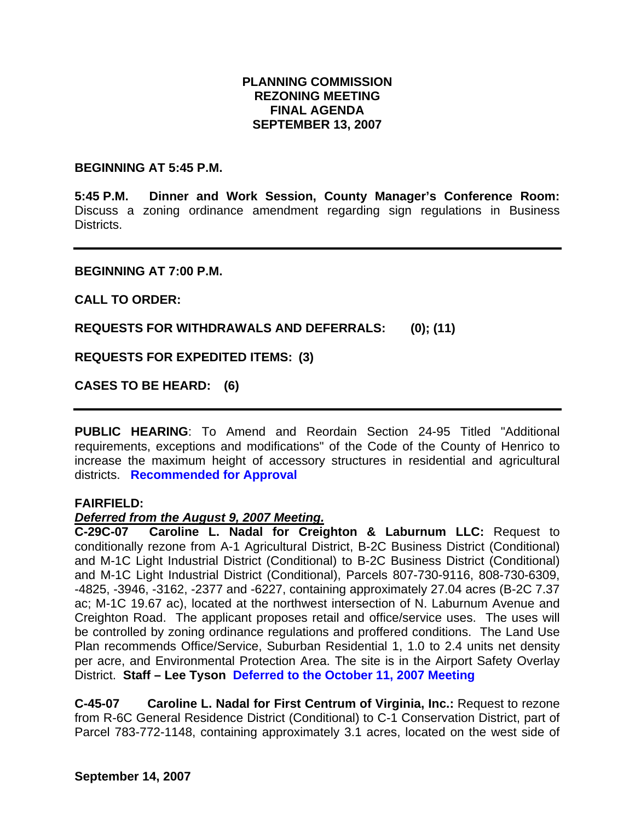### **PLANNING COMMISSION REZONING MEETING FINAL AGENDA SEPTEMBER 13, 2007**

#### **BEGINNING AT 5:45 P.M.**

**5:45 P.M. Dinner and Work Session, County Manager's Conference Room:** Discuss a zoning ordinance amendment regarding sign regulations in Business **Districts** 

#### **BEGINNING AT 7:00 P.M.**

**CALL TO ORDER:** 

**REQUESTS FOR WITHDRAWALS AND DEFERRALS: (0); (11)** 

**REQUESTS FOR EXPEDITED ITEMS: (3)** 

**CASES TO BE HEARD: (6)** 

**PUBLIC HEARING**: To Amend and Reordain Section 24-95 Titled "Additional requirements, exceptions and modifications" of the Code of the County of Henrico to increase the maximum height of accessory structures in residential and agricultural districts. **Recommended for Approval**

### **FAIRFIELD:**

### *Deferred from the August 9, 2007 Meeting.*

**C-29C-07 Caroline L. Nadal for Creighton & Laburnum LLC:** Request to conditionally rezone from A-1 Agricultural District, B-2C Business District (Conditional) and M-1C Light Industrial District (Conditional) to B-2C Business District (Conditional) and M-1C Light Industrial District (Conditional), Parcels 807-730-9116, 808-730-6309, -4825, -3946, -3162, -2377 and -6227, containing approximately 27.04 acres (B-2C 7.37 ac; M-1C 19.67 ac), located at the northwest intersection of N. Laburnum Avenue and Creighton Road. The applicant proposes retail and office/service uses. The uses will be controlled by zoning ordinance regulations and proffered conditions. The Land Use Plan recommends Office/Service, Suburban Residential 1, 1.0 to 2.4 units net density per acre, and Environmental Protection Area. The site is in the Airport Safety Overlay District. **Staff – Lee Tyson Deferred to the October 11, 2007 Meeting**

**C-45-07 Caroline L. Nadal for First Centrum of Virginia, Inc.:** Request to rezone from R-6C General Residence District (Conditional) to C-1 Conservation District, part of Parcel 783-772-1148, containing approximately 3.1 acres, located on the west side of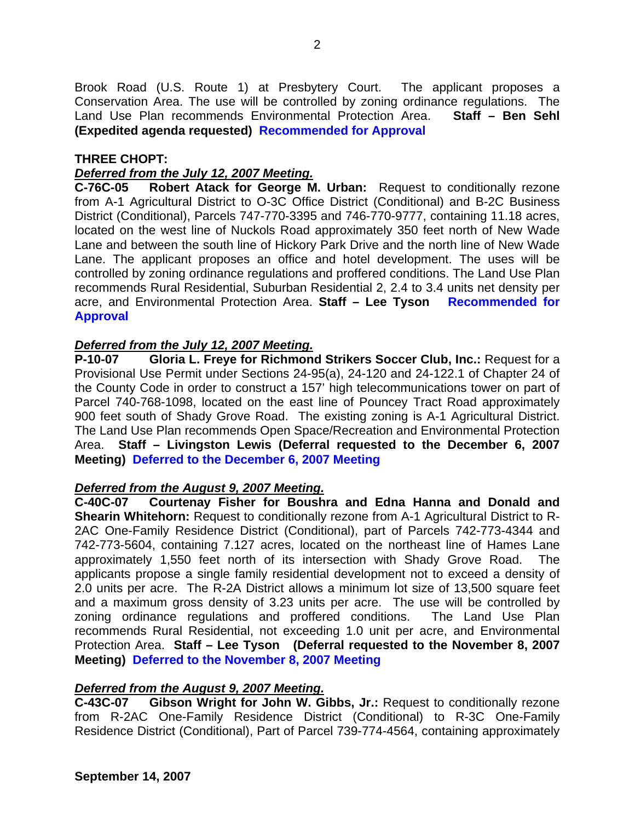Brook Road (U.S. Route 1) at Presbytery Court. The applicant proposes a Conservation Area. The use will be controlled by zoning ordinance regulations. The Land Use Plan recommends Environmental Protection Area. **Staff – Ben Sehl (Expedited agenda requested) Recommended for Approval**

### **THREE CHOPT:**

### *Deferred from the July 12, 2007 Meeting.*

**C-76C-05 Robert Atack for George M. Urban:** Request to conditionally rezone from A-1 Agricultural District to O-3C Office District (Conditional) and B-2C Business District (Conditional), Parcels 747-770-3395 and 746-770-9777, containing 11.18 acres, located on the west line of Nuckols Road approximately 350 feet north of New Wade Lane and between the south line of Hickory Park Drive and the north line of New Wade Lane. The applicant proposes an office and hotel development. The uses will be controlled by zoning ordinance regulations and proffered conditions. The Land Use Plan recommends Rural Residential, Suburban Residential 2, 2.4 to 3.4 units net density per acre, and Environmental Protection Area. **Staff – Lee Tyson Recommended for Approval** 

### *Deferred from the July 12, 2007 Meeting.*

**P-10-07 Gloria L. Freye for Richmond Strikers Soccer Club, Inc.:** Request for a Provisional Use Permit under Sections 24-95(a), 24-120 and 24-122.1 of Chapter 24 of the County Code in order to construct a 157' high telecommunications tower on part of Parcel 740-768-1098, located on the east line of Pouncey Tract Road approximately 900 feet south of Shady Grove Road. The existing zoning is A-1 Agricultural District. The Land Use Plan recommends Open Space/Recreation and Environmental Protection Area. **Staff – Livingston Lewis (Deferral requested to the December 6, 2007 Meeting) Deferred to the December 6, 2007 Meeting**

### *Deferred from the August 9, 2007 Meeting.*

**C-40C-07 Courtenay Fisher for Boushra and Edna Hanna and Donald and Shearin Whitehorn:** Request to conditionally rezone from A-1 Agricultural District to R-2AC One-Family Residence District (Conditional), part of Parcels 742-773-4344 and 742-773-5604, containing 7.127 acres, located on the northeast line of Hames Lane approximately 1,550 feet north of its intersection with Shady Grove Road. The applicants propose a single family residential development not to exceed a density of 2.0 units per acre. The R-2A District allows a minimum lot size of 13,500 square feet and a maximum gross density of 3.23 units per acre. The use will be controlled by zoning ordinance regulations and proffered conditions. The Land Use Plan recommends Rural Residential, not exceeding 1.0 unit per acre, and Environmental Protection Area. **Staff – Lee Tyson (Deferral requested to the November 8, 2007 Meeting) Deferred to the November 8, 2007 Meeting** 

### *Deferred from the August 9, 2007 Meeting.*

**C-43C-07 Gibson Wright for John W. Gibbs, Jr.:** Request to conditionally rezone from R-2AC One-Family Residence District (Conditional) to R-3C One-Family Residence District (Conditional), Part of Parcel 739-774-4564, containing approximately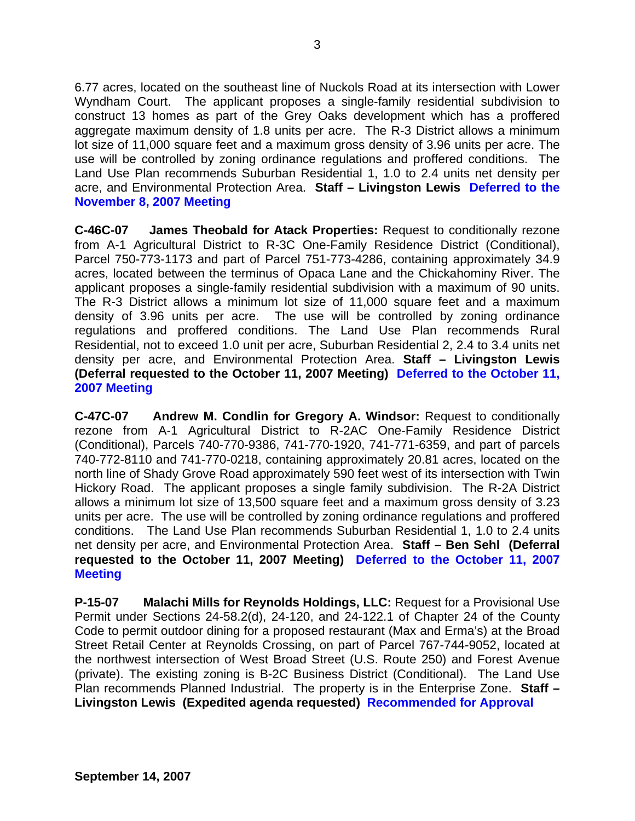6.77 acres, located on the southeast line of Nuckols Road at its intersection with Lower Wyndham Court. The applicant proposes a single-family residential subdivision to construct 13 homes as part of the Grey Oaks development which has a proffered aggregate maximum density of 1.8 units per acre. The R-3 District allows a minimum lot size of 11,000 square feet and a maximum gross density of 3.96 units per acre. The use will be controlled by zoning ordinance regulations and proffered conditions. The Land Use Plan recommends Suburban Residential 1, 1.0 to 2.4 units net density per acre, and Environmental Protection Area. **Staff – Livingston Lewis Deferred to the November 8, 2007 Meeting**

**C-46C-07 James Theobald for Atack Properties:** Request to conditionally rezone from A-1 Agricultural District to R-3C One-Family Residence District (Conditional), Parcel 750-773-1173 and part of Parcel 751-773-4286, containing approximately 34.9 acres, located between the terminus of Opaca Lane and the Chickahominy River. The applicant proposes a single-family residential subdivision with a maximum of 90 units. The R-3 District allows a minimum lot size of 11,000 square feet and a maximum density of 3.96 units per acre. The use will be controlled by zoning ordinance regulations and proffered conditions. The Land Use Plan recommends Rural Residential, not to exceed 1.0 unit per acre, Suburban Residential 2, 2.4 to 3.4 units net density per acre, and Environmental Protection Area. **Staff – Livingston Lewis (Deferral requested to the October 11, 2007 Meeting) Deferred to the October 11, 2007 Meeting**

**C-47C-07 Andrew M. Condlin for Gregory A. Windsor:** Request to conditionally rezone from A-1 Agricultural District to R-2AC One-Family Residence District (Conditional), Parcels 740-770-9386, 741-770-1920, 741-771-6359, and part of parcels 740-772-8110 and 741-770-0218, containing approximately 20.81 acres, located on the north line of Shady Grove Road approximately 590 feet west of its intersection with Twin Hickory Road. The applicant proposes a single family subdivision. The R-2A District allows a minimum lot size of 13,500 square feet and a maximum gross density of 3.23 units per acre. The use will be controlled by zoning ordinance regulations and proffered conditions. The Land Use Plan recommends Suburban Residential 1, 1.0 to 2.4 units net density per acre, and Environmental Protection Area. **Staff – Ben Sehl (Deferral requested to the October 11, 2007 Meeting) Deferred to the October 11, 2007 Meeting**

**P-15-07 Malachi Mills for Reynolds Holdings, LLC:** Request for a Provisional Use Permit under Sections 24-58.2(d), 24-120, and 24-122.1 of Chapter 24 of the County Code to permit outdoor dining for a proposed restaurant (Max and Erma's) at the Broad Street Retail Center at Reynolds Crossing, on part of Parcel 767-744-9052, located at the northwest intersection of West Broad Street (U.S. Route 250) and Forest Avenue (private). The existing zoning is B-2C Business District (Conditional). The Land Use Plan recommends Planned Industrial. The property is in the Enterprise Zone. **Staff – Livingston Lewis (Expedited agenda requested) Recommended for Approval**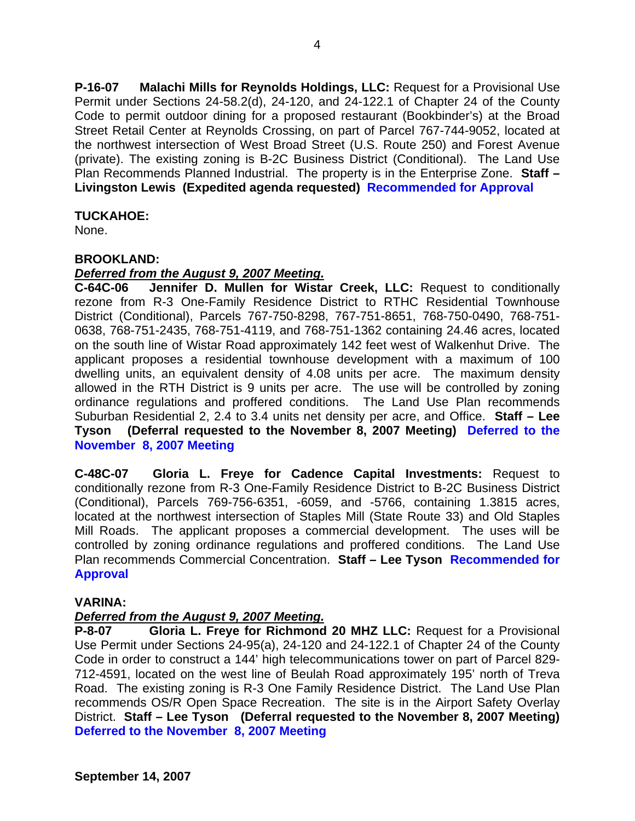**P-16-07 Malachi Mills for Reynolds Holdings, LLC:** Request for a Provisional Use Permit under Sections 24-58.2(d), 24-120, and 24-122.1 of Chapter 24 of the County Code to permit outdoor dining for a proposed restaurant (Bookbinder's) at the Broad Street Retail Center at Reynolds Crossing, on part of Parcel 767-744-9052, located at the northwest intersection of West Broad Street (U.S. Route 250) and Forest Avenue (private). The existing zoning is B-2C Business District (Conditional). The Land Use Plan Recommends Planned Industrial. The property is in the Enterprise Zone. **Staff – Livingston Lewis (Expedited agenda requested) Recommended for Approval** 

# **TUCKAHOE:**

None.

# **BROOKLAND:**

# *Deferred from the August 9, 2007 Meeting.*

**C-64C-06 Jennifer D. Mullen for Wistar Creek, LLC:** Request to conditionally rezone from R-3 One-Family Residence District to RTHC Residential Townhouse District (Conditional), Parcels 767-750-8298, 767-751-8651, 768-750-0490, 768-751- 0638, 768-751-2435, 768-751-4119, and 768-751-1362 containing 24.46 acres, located on the south line of Wistar Road approximately 142 feet west of Walkenhut Drive. The applicant proposes a residential townhouse development with a maximum of 100 dwelling units, an equivalent density of 4.08 units per acre. The maximum density allowed in the RTH District is 9 units per acre. The use will be controlled by zoning ordinance regulations and proffered conditions. The Land Use Plan recommends Suburban Residential 2, 2.4 to 3.4 units net density per acre, and Office. **Staff – Lee Tyson (Deferral requested to the November 8, 2007 Meeting) Deferred to the November 8, 2007 Meeting** 

**C-48C-07 Gloria L. Freye for Cadence Capital Investments:** Request to conditionally rezone from R-3 One-Family Residence District to B-2C Business District (Conditional), Parcels 769-756-6351, -6059, and -5766, containing 1.3815 acres, located at the northwest intersection of Staples Mill (State Route 33) and Old Staples Mill Roads. The applicant proposes a commercial development. The uses will be controlled by zoning ordinance regulations and proffered conditions. The Land Use Plan recommends Commercial Concentration. **Staff – Lee Tyson Recommended for Approval**

# **VARINA:**

# *Deferred from the August 9, 2007 Meeting.*

**P-8-07 Gloria L. Freye for Richmond 20 MHZ LLC:** Request for a Provisional Use Permit under Sections 24-95(a), 24-120 and 24-122.1 of Chapter 24 of the County Code in order to construct a 144' high telecommunications tower on part of Parcel 829- 712-4591, located on the west line of Beulah Road approximately 195' north of Treva Road. The existing zoning is R-3 One Family Residence District. The Land Use Plan recommends OS/R Open Space Recreation. The site is in the Airport Safety Overlay District. **Staff – Lee Tyson (Deferral requested to the November 8, 2007 Meeting) Deferred to the November 8, 2007 Meeting**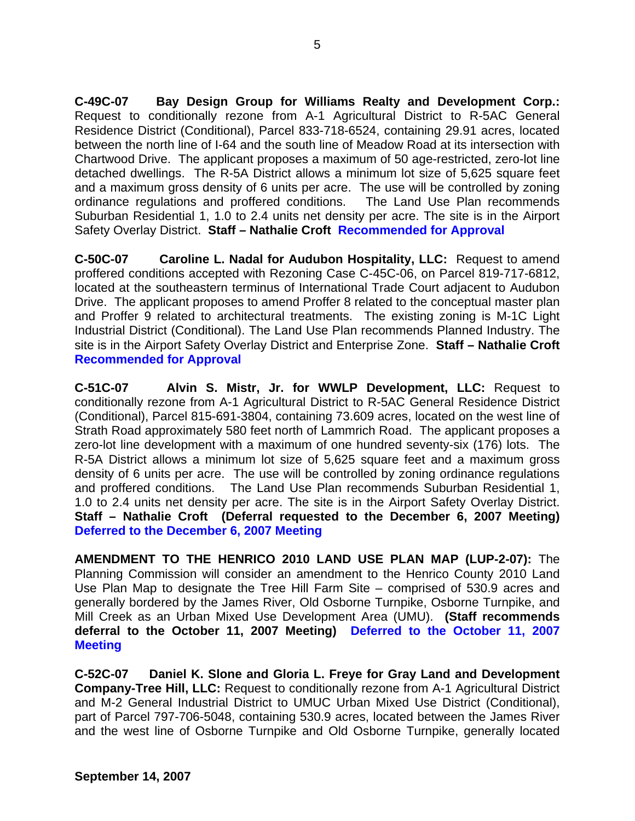**C-49C-07 Bay Design Group for Williams Realty and Development Corp.:** Request to conditionally rezone from A-1 Agricultural District to R-5AC General Residence District (Conditional), Parcel 833-718-6524, containing 29.91 acres, located between the north line of I-64 and the south line of Meadow Road at its intersection with Chartwood Drive. The applicant proposes a maximum of 50 age-restricted, zero-lot line detached dwellings. The R-5A District allows a minimum lot size of 5,625 square feet and a maximum gross density of 6 units per acre. The use will be controlled by zoning ordinance regulations and proffered conditions. The Land Use Plan recommends Suburban Residential 1, 1.0 to 2.4 units net density per acre. The site is in the Airport Safety Overlay District. **Staff – Nathalie Croft Recommended for Approval** 

**C-50C-07 Caroline L. Nadal for Audubon Hospitality, LLC:** Request to amend proffered conditions accepted with Rezoning Case C-45C-06, on Parcel 819-717-6812, located at the southeastern terminus of International Trade Court adjacent to Audubon Drive. The applicant proposes to amend Proffer 8 related to the conceptual master plan and Proffer 9 related to architectural treatments. The existing zoning is M-1C Light Industrial District (Conditional). The Land Use Plan recommends Planned Industry. The site is in the Airport Safety Overlay District and Enterprise Zone. **Staff – Nathalie Croft Recommended for Approval** 

**C-51C-07 Alvin S. Mistr, Jr. for WWLP Development, LLC:** Request to conditionally rezone from A-1 Agricultural District to R-5AC General Residence District (Conditional), Parcel 815-691-3804, containing 73.609 acres, located on the west line of Strath Road approximately 580 feet north of Lammrich Road. The applicant proposes a zero-lot line development with a maximum of one hundred seventy-six (176) lots. The R-5A District allows a minimum lot size of 5,625 square feet and a maximum gross density of 6 units per acre. The use will be controlled by zoning ordinance regulations and proffered conditions. The Land Use Plan recommends Suburban Residential 1, 1.0 to 2.4 units net density per acre. The site is in the Airport Safety Overlay District. **Staff – Nathalie Croft (Deferral requested to the December 6, 2007 Meeting) Deferred to the December 6, 2007 Meeting**

**AMENDMENT TO THE HENRICO 2010 LAND USE PLAN MAP (LUP-2-07):** The Planning Commission will consider an amendment to the Henrico County 2010 Land Use Plan Map to designate the Tree Hill Farm Site – comprised of 530.9 acres and generally bordered by the James River, Old Osborne Turnpike, Osborne Turnpike, and Mill Creek as an Urban Mixed Use Development Area (UMU). **(Staff recommends deferral to the October 11, 2007 Meeting) Deferred to the October 11, 2007 Meeting**

**C-52C-07 Daniel K. Slone and Gloria L. Freye for Gray Land and Development Company-Tree Hill, LLC:** Request to conditionally rezone from A-1 Agricultural District and M-2 General Industrial District to UMUC Urban Mixed Use District (Conditional), part of Parcel 797-706-5048, containing 530.9 acres, located between the James River and the west line of Osborne Turnpike and Old Osborne Turnpike, generally located